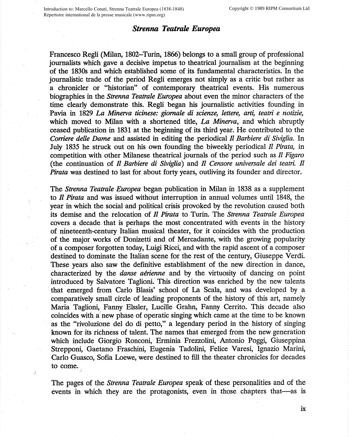## *Strenna Teatrale Europea*

Francesco Regli (Milan, 1802-Turin, 1866) belongs to a small group of professional journalists which gave a decisive impetus to theatrical journalism at the beginning of the 1830s and which established some of its fundamental characteristics. In the journalistic trade of the period Regli emerges not simply as a critic but rather as a chronicler or "historian" of contemporary theatrical events. His numerous biographies in the *Strenna Teatrale Europea* about even the minor characters of the time clearly demonstrate this. Regli began his journalistic activities founding in Pavia in 1829 *La Minerva ticinese: giornale di scienze, lettere, arti, teatri e notizie,* which moved to Milan with a shortened title, *La Minerva,* and which abruptly ceased publication in 1831 at the beginning of its third year. He contributed to the *Corriere delle Dame* and assisted in editing the periodical *Il Barbiere di Siviglia.* In July 1835 he struck out on his own founding the biweekly periodical *Il Pirata,* in competition with other Milanese theatrical journals of the period such as *Il Figaro*  (the continuation of *Il Barbiere di Siviglia)* and *Il Censore universale dei teatri. Il Pirata* was destined to last for about forty years, outliving its founder and director.

The *Strenna Teatrale Europea* began publication in Milan in 1838 as a supplement to *Il Pirata* and was issued without interruption in annual volumes until 1848, the year in which the social and political crisis provoked by the revolution caused both its demise and the relocation of *Il Pirata* to Turin. The *Strenna Teatrale Europea* covers a decade that is perhaps the most concentrated with events in the history of nineteenth-century Italian musical theater, for it coincides with the production of the major works of Donizetti and of Mercadante, with the growing popularity of a composer forgotten today, Luigi Ricci, and with the rapid ascent of a composer destined to dominate the Italian scene for the rest of the century, Giuseppe Verdi. These years also saw the definitive establishment of the new direction in dance, characterized by the *danse aerienne* and by the virtuosity of dancing on point introduced by Salvatore Taglioni. This direction was enriched by the new talents that emerged from Carlo Blasis' school of La Scala, and was developed by a comparatively small circle of leading proponents of the history of this art, namely Maria Taglioni, Fanny Elssler, Lucille Grahn, Fanny Cerrito. This decade also coincides with a' new phase of operatic singing which came at the time to be known as the "rivoluzione del do di petto," a legendary period in the history of singing known for its richness of talent. The names that emerged from the new generation which include Giorgio Ronconi, Erminia Frezzolini, Antonio Poggi, Giuseppina Strepponi, Gaetano Fraschini, Eugenia Tadolini, Felice Varesi, Ignazio Marini, Carlo Guasco, Sofia Loewe, were destined to fill the theater chronicles for decades to come.

The pages of the *Strenna Teatrale Europea* speak of these personalities and of the events in which they are the protagonists, even in those chapters that—as is

ix